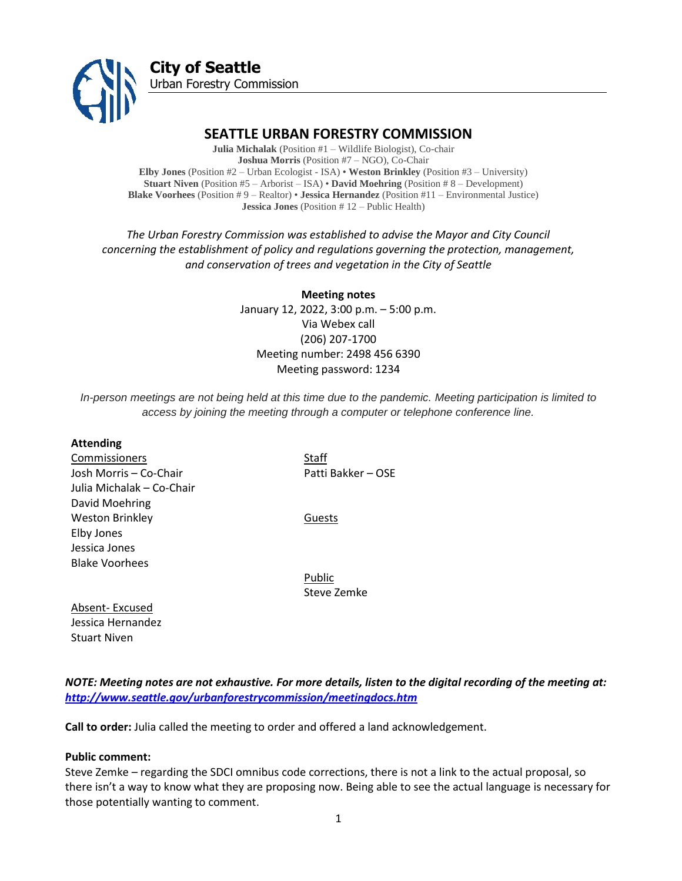

# **SEATTLE URBAN FORESTRY COMMISSION**

**Julia Michalak** (Position #1 – Wildlife Biologist), Co-chair **Joshua Morris** (Position #7 – NGO), Co-Chair **Elby Jones** (Position #2 – Urban Ecologist - ISA) • **Weston Brinkley** (Position #3 – University) **Stuart Niven** (Position #5 – Arborist – ISA) • **David Moehring** (Position # 8 – Development) **Blake Voorhees** (Position # 9 – Realtor) • **Jessica Hernandez** (Position #11 – Environmental Justice) **Jessica Jones** (Position # 12 – Public Health)

*The Urban Forestry Commission was established to advise the Mayor and City Council concerning the establishment of policy and regulations governing the protection, management, and conservation of trees and vegetation in the City of Seattle*

> **Meeting notes** January 12, 2022, 3:00 p.m. – 5:00 p.m. Via Webex call (206) 207-1700 Meeting number: 2498 456 6390 Meeting password: 1234

*In-person meetings are not being held at this time due to the pandemic. Meeting participation is limited to access by joining the meeting through a computer or telephone conference line.*

#### **Attending**

**Commissioners** Staff Josh Morris – Co-Chair Patti Bakker – OSE Julia Michalak – Co-Chair David Moehring Weston Brinkley **Guests** Elby Jones Jessica Jones Blake Voorhees

Public Steve Zemke

Absent- Excused Jessica Hernandez Stuart Niven

*NOTE: Meeting notes are not exhaustive. For more details, listen to the digital recording of the meeting at: <http://www.seattle.gov/urbanforestrycommission/meetingdocs.htm>*

**Call to order:** Julia called the meeting to order and offered a land acknowledgement.

#### **Public comment:**

Steve Zemke – regarding the SDCI omnibus code corrections, there is not a link to the actual proposal, so there isn't a way to know what they are proposing now. Being able to see the actual language is necessary for those potentially wanting to comment.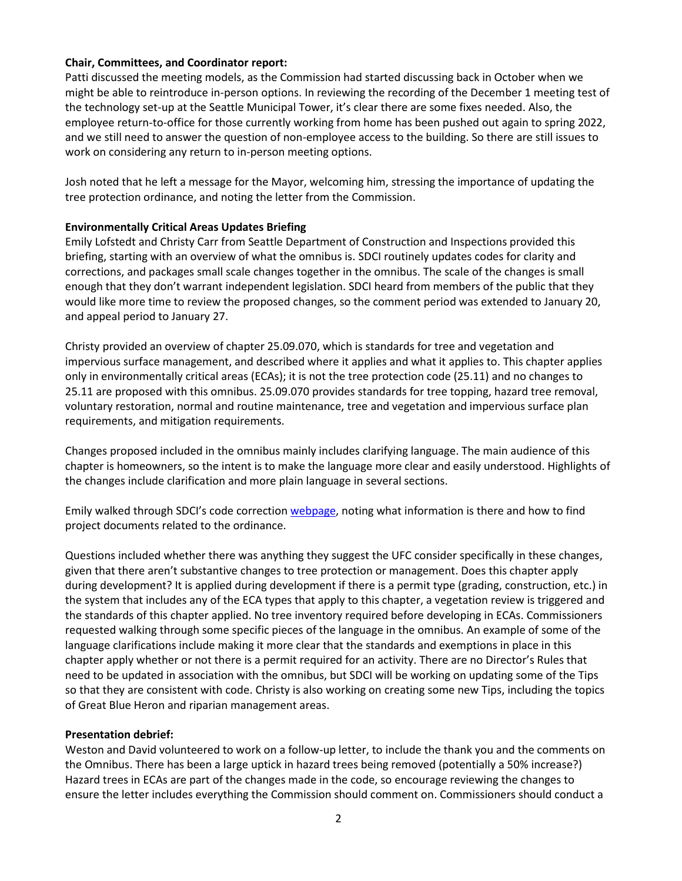#### **Chair, Committees, and Coordinator report:**

Patti discussed the meeting models, as the Commission had started discussing back in October when we might be able to reintroduce in-person options. In reviewing the recording of the December 1 meeting test of the technology set-up at the Seattle Municipal Tower, it's clear there are some fixes needed. Also, the employee return-to-office for those currently working from home has been pushed out again to spring 2022, and we still need to answer the question of non-employee access to the building. So there are still issues to work on considering any return to in-person meeting options.

Josh noted that he left a message for the Mayor, welcoming him, stressing the importance of updating the tree protection ordinance, and noting the letter from the Commission.

### **Environmentally Critical Areas Updates Briefing**

Emily Lofstedt and Christy Carr from Seattle Department of Construction and Inspections provided this briefing, starting with an overview of what the omnibus is. SDCI routinely updates codes for clarity and corrections, and packages small scale changes together in the omnibus. The scale of the changes is small enough that they don't warrant independent legislation. SDCI heard from members of the public that they would like more time to review the proposed changes, so the comment period was extended to January 20, and appeal period to January 27.

Christy provided an overview of chapter 25.09.070, which is standards for tree and vegetation and impervious surface management, and described where it applies and what it applies to. This chapter applies only in environmentally critical areas (ECAs); it is not the tree protection code (25.11) and no changes to 25.11 are proposed with this omnibus. 25.09.070 provides standards for tree topping, hazard tree removal, voluntary restoration, normal and routine maintenance, tree and vegetation and impervious surface plan requirements, and mitigation requirements.

Changes proposed included in the omnibus mainly includes clarifying language. The main audience of this chapter is homeowners, so the intent is to make the language more clear and easily understood. Highlights of the changes include clarification and more plain language in several sections.

Emily walked through SDCI's code correctio[n webpage,](https://www.seattle.gov/sdci/codes/changes-to-code/tree-protection) noting what information is there and how to find project documents related to the ordinance.

Questions included whether there was anything they suggest the UFC consider specifically in these changes, given that there aren't substantive changes to tree protection or management. Does this chapter apply during development? It is applied during development if there is a permit type (grading, construction, etc.) in the system that includes any of the ECA types that apply to this chapter, a vegetation review is triggered and the standards of this chapter applied. No tree inventory required before developing in ECAs. Commissioners requested walking through some specific pieces of the language in the omnibus. An example of some of the language clarifications include making it more clear that the standards and exemptions in place in this chapter apply whether or not there is a permit required for an activity. There are no Director's Rules that need to be updated in association with the omnibus, but SDCI will be working on updating some of the Tips so that they are consistent with code. Christy is also working on creating some new Tips, including the topics of Great Blue Heron and riparian management areas.

#### **Presentation debrief:**

Weston and David volunteered to work on a follow-up letter, to include the thank you and the comments on the Omnibus. There has been a large uptick in hazard trees being removed (potentially a 50% increase?) Hazard trees in ECAs are part of the changes made in the code, so encourage reviewing the changes to ensure the letter includes everything the Commission should comment on. Commissioners should conduct a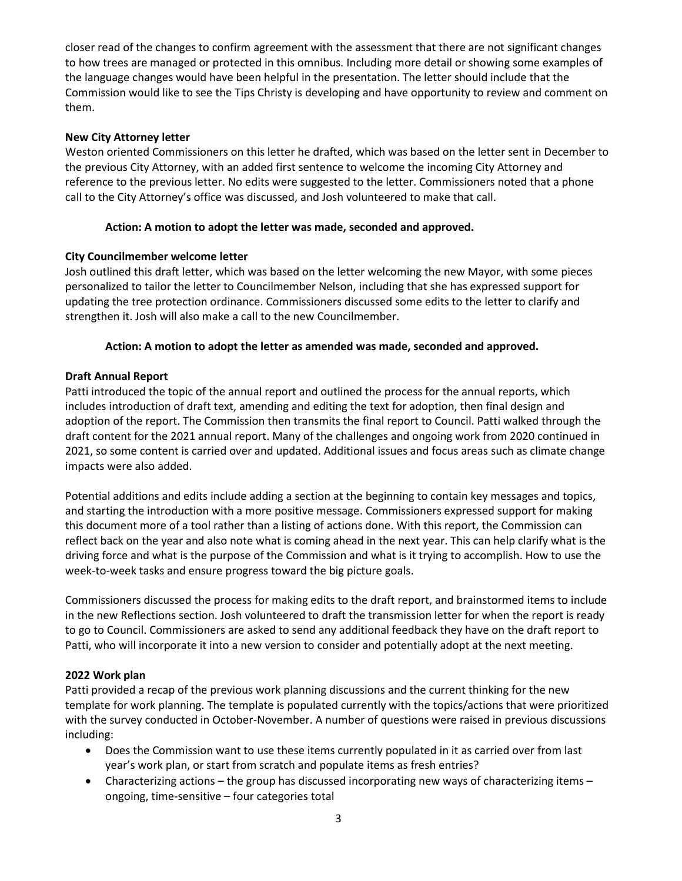closer read of the changes to confirm agreement with the assessment that there are not significant changes to how trees are managed or protected in this omnibus. Including more detail or showing some examples of the language changes would have been helpful in the presentation. The letter should include that the Commission would like to see the Tips Christy is developing and have opportunity to review and comment on them.

### **New City Attorney letter**

Weston oriented Commissioners on this letter he drafted, which was based on the letter sent in December to the previous City Attorney, with an added first sentence to welcome the incoming City Attorney and reference to the previous letter. No edits were suggested to the letter. Commissioners noted that a phone call to the City Attorney's office was discussed, and Josh volunteered to make that call.

## **Action: A motion to adopt the letter was made, seconded and approved.**

## **City Councilmember welcome letter**

Josh outlined this draft letter, which was based on the letter welcoming the new Mayor, with some pieces personalized to tailor the letter to Councilmember Nelson, including that she has expressed support for updating the tree protection ordinance. Commissioners discussed some edits to the letter to clarify and strengthen it. Josh will also make a call to the new Councilmember.

## **Action: A motion to adopt the letter as amended was made, seconded and approved.**

## **Draft Annual Report**

Patti introduced the topic of the annual report and outlined the process for the annual reports, which includes introduction of draft text, amending and editing the text for adoption, then final design and adoption of the report. The Commission then transmits the final report to Council. Patti walked through the draft content for the 2021 annual report. Many of the challenges and ongoing work from 2020 continued in 2021, so some content is carried over and updated. Additional issues and focus areas such as climate change impacts were also added.

Potential additions and edits include adding a section at the beginning to contain key messages and topics, and starting the introduction with a more positive message. Commissioners expressed support for making this document more of a tool rather than a listing of actions done. With this report, the Commission can reflect back on the year and also note what is coming ahead in the next year. This can help clarify what is the driving force and what is the purpose of the Commission and what is it trying to accomplish. How to use the week-to-week tasks and ensure progress toward the big picture goals.

Commissioners discussed the process for making edits to the draft report, and brainstormed items to include in the new Reflections section. Josh volunteered to draft the transmission letter for when the report is ready to go to Council. Commissioners are asked to send any additional feedback they have on the draft report to Patti, who will incorporate it into a new version to consider and potentially adopt at the next meeting.

### **2022 Work plan**

Patti provided a recap of the previous work planning discussions and the current thinking for the new template for work planning. The template is populated currently with the topics/actions that were prioritized with the survey conducted in October-November. A number of questions were raised in previous discussions including:

- Does the Commission want to use these items currently populated in it as carried over from last year's work plan, or start from scratch and populate items as fresh entries?
- Characterizing actions the group has discussed incorporating new ways of characterizing items ongoing, time-sensitive – four categories total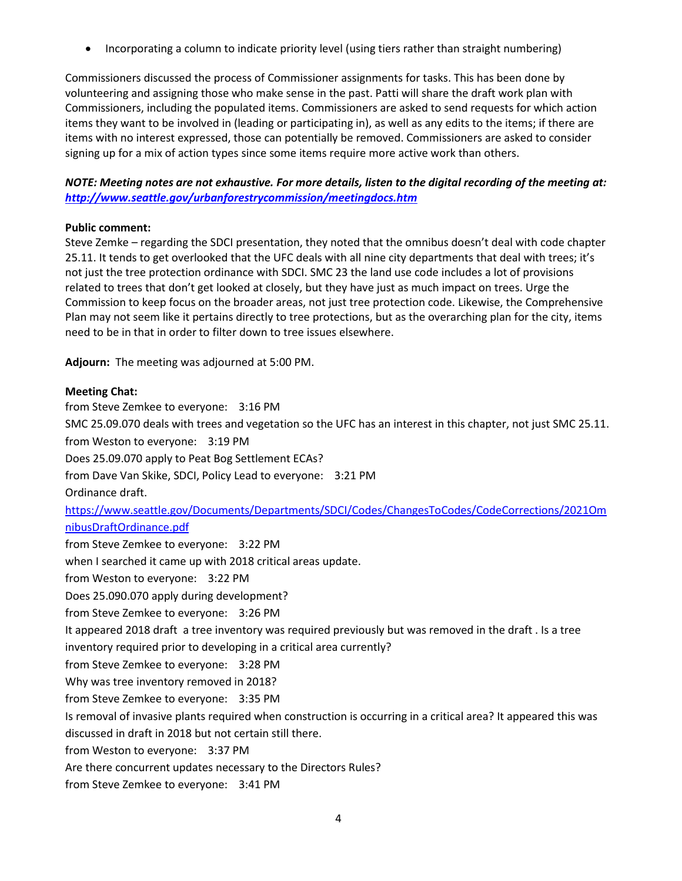• Incorporating a column to indicate priority level (using tiers rather than straight numbering)

Commissioners discussed the process of Commissioner assignments for tasks. This has been done by volunteering and assigning those who make sense in the past. Patti will share the draft work plan with Commissioners, including the populated items. Commissioners are asked to send requests for which action items they want to be involved in (leading or participating in), as well as any edits to the items; if there are items with no interest expressed, those can potentially be removed. Commissioners are asked to consider signing up for a mix of action types since some items require more active work than others.

# *NOTE: Meeting notes are not exhaustive. For more details, listen to the digital recording of the meeting at: <http://www.seattle.gov/urbanforestrycommission/meetingdocs.htm>*

### **Public comment:**

Steve Zemke – regarding the SDCI presentation, they noted that the omnibus doesn't deal with code chapter 25.11. It tends to get overlooked that the UFC deals with all nine city departments that deal with trees; it's not just the tree protection ordinance with SDCI. SMC 23 the land use code includes a lot of provisions related to trees that don't get looked at closely, but they have just as much impact on trees. Urge the Commission to keep focus on the broader areas, not just tree protection code. Likewise, the Comprehensive Plan may not seem like it pertains directly to tree protections, but as the overarching plan for the city, items need to be in that in order to filter down to tree issues elsewhere.

**Adjourn:** The meeting was adjourned at 5:00 PM.

## **Meeting Chat:**

from Steve Zemkee to everyone: 3:16 PM SMC 25.09.070 deals with trees and vegetation so the UFC has an interest in this chapter, not just SMC 25.11. from Weston to everyone: 3:19 PM Does 25.09.070 apply to Peat Bog Settlement ECAs? from Dave Van Skike, SDCI, Policy Lead to everyone: 3:21 PM Ordinance draft. [https://www.seattle.gov/Documents/Departments/SDCI/Codes/ChangesToCodes/CodeCorrections/2021Om](https://www.seattle.gov/Documents/Departments/SDCI/Codes/ChangesToCodes/CodeCorrections/2021OmnibusDraftOrdinance.pdf) [nibusDraftOrdinance.pdf](https://www.seattle.gov/Documents/Departments/SDCI/Codes/ChangesToCodes/CodeCorrections/2021OmnibusDraftOrdinance.pdf) from Steve Zemkee to everyone: 3:22 PM when I searched it came up with 2018 critical areas update. from Weston to everyone: 3:22 PM Does 25.090.070 apply during development? from Steve Zemkee to everyone: 3:26 PM It appeared 2018 draft a tree inventory was required previously but was removed in the draft . Is a tree inventory required prior to developing in a critical area currently? from Steve Zemkee to everyone: 3:28 PM Why was tree inventory removed in 2018? from Steve Zemkee to everyone: 3:35 PM Is removal of invasive plants required when construction is occurring in a critical area? It appeared this was discussed in draft in 2018 but not certain still there. from Weston to everyone: 3:37 PM Are there concurrent updates necessary to the Directors Rules? from Steve Zemkee to everyone: 3:41 PM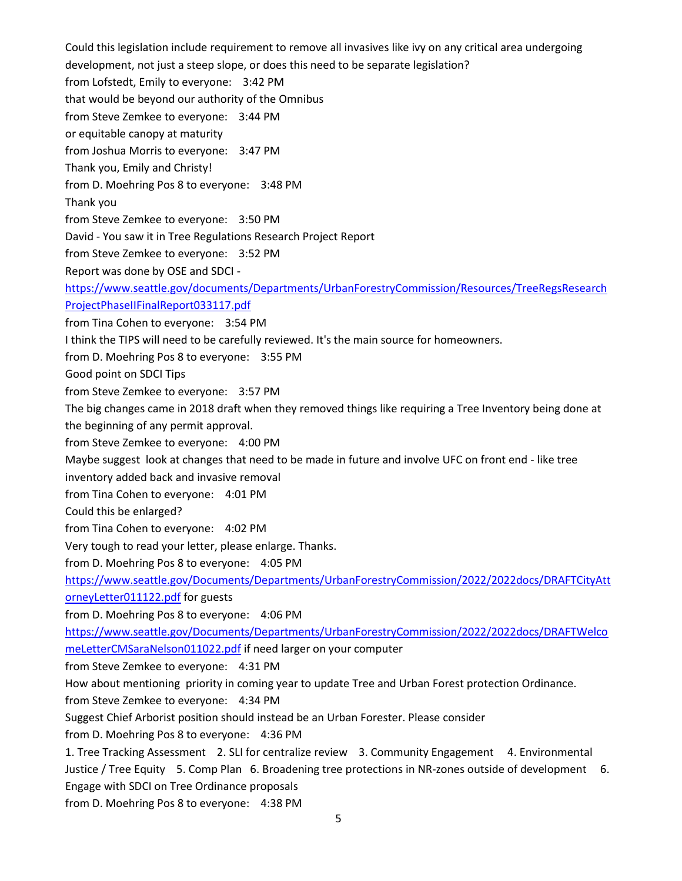Could this legislation include requirement to remove all invasives like ivy on any critical area undergoing development, not just a steep slope, or does this need to be separate legislation? from Lofstedt, Emily to everyone: 3:42 PM that would be beyond our authority of the Omnibus from Steve Zemkee to everyone: 3:44 PM or equitable canopy at maturity from Joshua Morris to everyone: 3:47 PM Thank you, Emily and Christy! from D. Moehring Pos 8 to everyone: 3:48 PM Thank you from Steve Zemkee to everyone: 3:50 PM David - You saw it in Tree Regulations Research Project Report from Steve Zemkee to everyone: 3:52 PM Report was done by OSE and SDCI [https://www.seattle.gov/documents/Departments/UrbanForestryCommission/Resources/TreeRegsResearch](https://www.seattle.gov/documents/Departments/UrbanForestryCommission/Resources/TreeRegsResearchProjectPhaseIIFinalReport033117.pdf) [ProjectPhaseIIFinalReport033117.pdf](https://www.seattle.gov/documents/Departments/UrbanForestryCommission/Resources/TreeRegsResearchProjectPhaseIIFinalReport033117.pdf) from Tina Cohen to everyone: 3:54 PM I think the TIPS will need to be carefully reviewed. It's the main source for homeowners. from D. Moehring Pos 8 to everyone: 3:55 PM Good point on SDCI Tips from Steve Zemkee to everyone: 3:57 PM The big changes came in 2018 draft when they removed things like requiring a Tree Inventory being done at the beginning of any permit approval. from Steve Zemkee to everyone: 4:00 PM Maybe suggest look at changes that need to be made in future and involve UFC on front end - like tree inventory added back and invasive removal from Tina Cohen to everyone: 4:01 PM Could this be enlarged? from Tina Cohen to everyone: 4:02 PM Very tough to read your letter, please enlarge. Thanks. from D. Moehring Pos 8 to everyone: 4:05 PM [https://www.seattle.gov/Documents/Departments/UrbanForestryCommission/2022/2022docs/DRAFTCityAtt](https://www.seattle.gov/Documents/Departments/UrbanForestryCommission/2022/2022docs/DRAFTCityAttorneyLetter011122.pdf) [orneyLetter011122.pdf](https://www.seattle.gov/Documents/Departments/UrbanForestryCommission/2022/2022docs/DRAFTCityAttorneyLetter011122.pdf) for guests from D. Moehring Pos 8 to everyone: 4:06 PM [https://www.seattle.gov/Documents/Departments/UrbanForestryCommission/2022/2022docs/DRAFTWelco](https://www.seattle.gov/Documents/Departments/UrbanForestryCommission/2022/2022docs/DRAFTWelcomeLetterCMSaraNelson011022.pdf) [meLetterCMSaraNelson011022.pdf](https://www.seattle.gov/Documents/Departments/UrbanForestryCommission/2022/2022docs/DRAFTWelcomeLetterCMSaraNelson011022.pdf) if need larger on your computer from Steve Zemkee to everyone: 4:31 PM How about mentioning priority in coming year to update Tree and Urban Forest protection Ordinance. from Steve Zemkee to everyone: 4:34 PM Suggest Chief Arborist position should instead be an Urban Forester. Please consider from D. Moehring Pos 8 to everyone: 4:36 PM 1. Tree Tracking Assessment 2. SLI for centralize review 3. Community Engagement 4. Environmental Justice / Tree Equity 5. Comp Plan 6. Broadening tree protections in NR-zones outside of development 6. Engage with SDCI on Tree Ordinance proposals from D. Moehring Pos 8 to everyone: 4:38 PM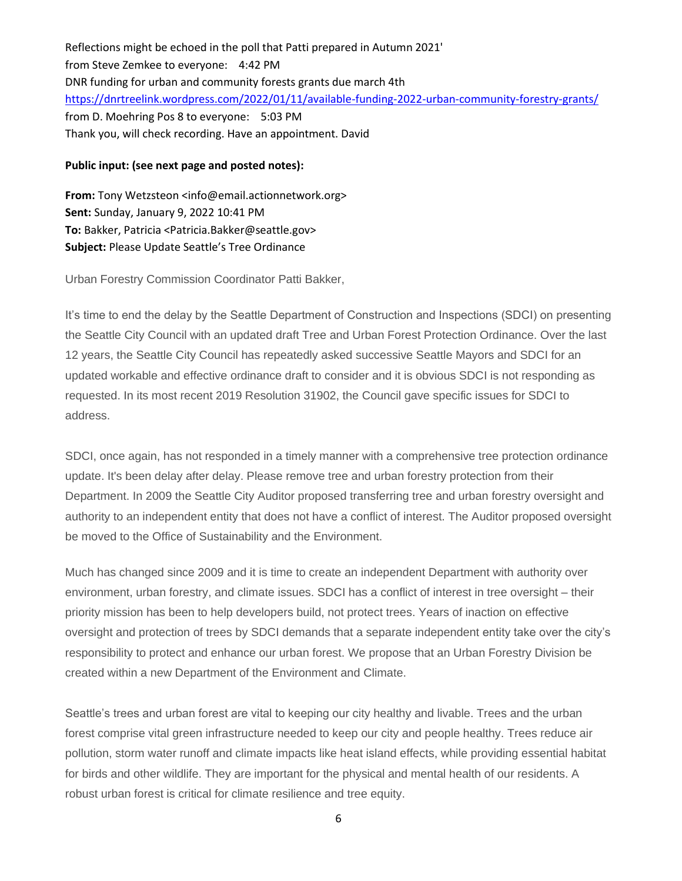Reflections might be echoed in the poll that Patti prepared in Autumn 2021' from Steve Zemkee to everyone: 4:42 PM DNR funding for urban and community forests grants due march 4th <https://dnrtreelink.wordpress.com/2022/01/11/available-funding-2022-urban-community-forestry-grants/> from D. Moehring Pos 8 to everyone: 5:03 PM Thank you, will check recording. Have an appointment. David

### **Public input: (see next page and posted notes):**

**From:** Tony Wetzsteon <info@email.actionnetwork.org> **Sent:** Sunday, January 9, 2022 10:41 PM **To:** Bakker, Patricia <Patricia.Bakker@seattle.gov> **Subject:** Please Update Seattle's Tree Ordinance

Urban Forestry Commission Coordinator Patti Bakker,

It's time to end the delay by the Seattle Department of Construction and Inspections (SDCI) on presenting the Seattle City Council with an updated draft Tree and Urban Forest Protection Ordinance. Over the last 12 years, the Seattle City Council has repeatedly asked successive Seattle Mayors and SDCI for an updated workable and effective ordinance draft to consider and it is obvious SDCI is not responding as requested. In its most recent 2019 Resolution 31902, the Council gave specific issues for SDCI to address.

SDCI, once again, has not responded in a timely manner with a comprehensive tree protection ordinance update. It's been delay after delay. Please remove tree and urban forestry protection from their Department. In 2009 the Seattle City Auditor proposed transferring tree and urban forestry oversight and authority to an independent entity that does not have a conflict of interest. The Auditor proposed oversight be moved to the Office of Sustainability and the Environment.

Much has changed since 2009 and it is time to create an independent Department with authority over environment, urban forestry, and climate issues. SDCI has a conflict of interest in tree oversight – their priority mission has been to help developers build, not protect trees. Years of inaction on effective oversight and protection of trees by SDCI demands that a separate independent entity take over the city's responsibility to protect and enhance our urban forest. We propose that an Urban Forestry Division be created within a new Department of the Environment and Climate.

Seattle's trees and urban forest are vital to keeping our city healthy and livable. Trees and the urban forest comprise vital green infrastructure needed to keep our city and people healthy. Trees reduce air pollution, storm water runoff and climate impacts like heat island effects, while providing essential habitat for birds and other wildlife. They are important for the physical and mental health of our residents. A robust urban forest is critical for climate resilience and tree equity.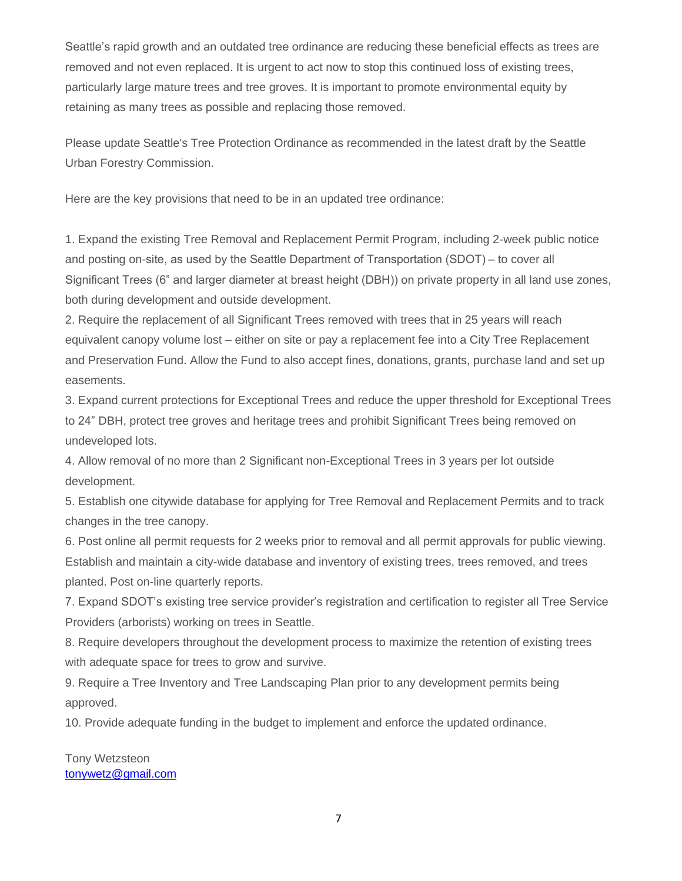Seattle's rapid growth and an outdated tree ordinance are reducing these beneficial effects as trees are removed and not even replaced. It is urgent to act now to stop this continued loss of existing trees, particularly large mature trees and tree groves. It is important to promote environmental equity by retaining as many trees as possible and replacing those removed.

Please update Seattle's Tree Protection Ordinance as recommended in the latest draft by the Seattle Urban Forestry Commission.

Here are the key provisions that need to be in an updated tree ordinance:

1. Expand the existing Tree Removal and Replacement Permit Program, including 2-week public notice and posting on-site, as used by the Seattle Department of Transportation (SDOT) – to cover all Significant Trees (6" and larger diameter at breast height (DBH)) on private property in all land use zones, both during development and outside development.

2. Require the replacement of all Significant Trees removed with trees that in 25 years will reach equivalent canopy volume lost – either on site or pay a replacement fee into a City Tree Replacement and Preservation Fund. Allow the Fund to also accept fines, donations, grants, purchase land and set up easements.

3. Expand current protections for Exceptional Trees and reduce the upper threshold for Exceptional Trees to 24" DBH, protect tree groves and heritage trees and prohibit Significant Trees being removed on undeveloped lots.

4. Allow removal of no more than 2 Significant non-Exceptional Trees in 3 years per lot outside development.

5. Establish one citywide database for applying for Tree Removal and Replacement Permits and to track changes in the tree canopy.

6. Post online all permit requests for 2 weeks prior to removal and all permit approvals for public viewing. Establish and maintain a city-wide database and inventory of existing trees, trees removed, and trees planted. Post on-line quarterly reports.

7. Expand SDOT's existing tree service provider's registration and certification to register all Tree Service Providers (arborists) working on trees in Seattle.

8. Require developers throughout the development process to maximize the retention of existing trees with adequate space for trees to grow and survive.

9. Require a Tree Inventory and Tree Landscaping Plan prior to any development permits being approved.

10. Provide adequate funding in the budget to implement and enforce the updated ordinance.

Tony Wetzsteon [tonywetz@gmail.com](mailto:tonywetz@gmail.com)